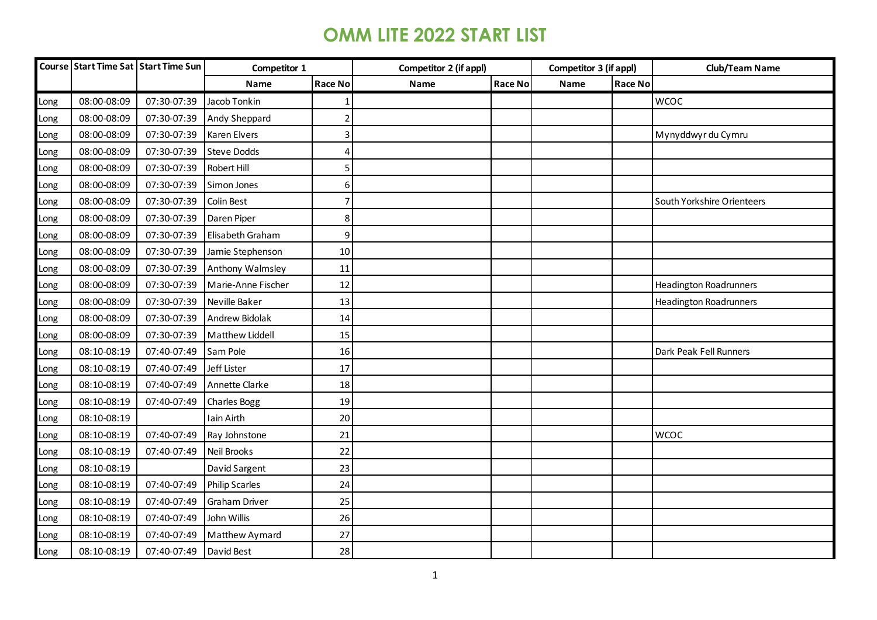|      |             | Course Start Time Sat Start Time Sun | Competitor 1          |                | Competitor 2 (if appl) |         |      | Competitor 3 (if appl) | <b>Club/Team Name</b>         |
|------|-------------|--------------------------------------|-----------------------|----------------|------------------------|---------|------|------------------------|-------------------------------|
|      |             |                                      | Name                  | Race No        | Name                   | Race No | Name | <b>Race No</b>         |                               |
| Long | 08:00-08:09 | 07:30-07:39                          | Jacob Tonkin          |                |                        |         |      |                        | <b>WCOC</b>                   |
| Long | 08:00-08:09 | 07:30-07:39                          | Andy Sheppard         | $\overline{2}$ |                        |         |      |                        |                               |
| Long | 08:00-08:09 | 07:30-07:39                          | Karen Elvers          | $\overline{3}$ |                        |         |      |                        | Mynyddwyr du Cymru            |
| Long | 08:00-08:09 | 07:30-07:39                          | <b>Steve Dodds</b>    | 4              |                        |         |      |                        |                               |
| Long | 08:00-08:09 | 07:30-07:39                          | Robert Hill           | 5              |                        |         |      |                        |                               |
| Long | 08:00-08:09 | 07:30-07:39                          | Simon Jones           | 6              |                        |         |      |                        |                               |
| Long | 08:00-08:09 | 07:30-07:39                          | Colin Best            |                |                        |         |      |                        | South Yorkshire Orienteers    |
| Long | 08:00-08:09 | 07:30-07:39                          | Daren Piper           | 8              |                        |         |      |                        |                               |
| Long | 08:00-08:09 | 07:30-07:39                          | Elisabeth Graham      | 9              |                        |         |      |                        |                               |
| Long | 08:00-08:09 | 07:30-07:39                          | Jamie Stephenson      | $10\,$         |                        |         |      |                        |                               |
| Long | 08:00-08:09 | 07:30-07:39                          | Anthony Walmsley      | 11             |                        |         |      |                        |                               |
| Long | 08:00-08:09 | 07:30-07:39                          | Marie-Anne Fischer    | 12             |                        |         |      |                        | <b>Headington Roadrunners</b> |
| Long | 08:00-08:09 | 07:30-07:39                          | Neville Baker         | 13             |                        |         |      |                        | <b>Headington Roadrunners</b> |
| Long | 08:00-08:09 | 07:30-07:39                          | Andrew Bidolak        | 14             |                        |         |      |                        |                               |
| Long | 08:00-08:09 | 07:30-07:39                          | Matthew Liddell       | 15             |                        |         |      |                        |                               |
| Long | 08:10-08:19 | 07:40-07:49                          | Sam Pole              | 16             |                        |         |      |                        | Dark Peak Fell Runners        |
| Long | 08:10-08:19 | 07:40-07:49                          | Jeff Lister           | 17             |                        |         |      |                        |                               |
| Long | 08:10-08:19 | 07:40-07:49                          | Annette Clarke        | 18             |                        |         |      |                        |                               |
| Long | 08:10-08:19 | 07:40-07:49                          | Charles Bogg          | 19             |                        |         |      |                        |                               |
| Long | 08:10-08:19 |                                      | Iain Airth            | 20             |                        |         |      |                        |                               |
| Long | 08:10-08:19 | 07:40-07:49                          | Ray Johnstone         | 21             |                        |         |      |                        | <b>WCOC</b>                   |
| Long | 08:10-08:19 | 07:40-07:49                          | Neil Brooks           | 22             |                        |         |      |                        |                               |
| Long | 08:10-08:19 |                                      | David Sargent         | 23             |                        |         |      |                        |                               |
| Long | 08:10-08:19 | 07:40-07:49                          | <b>Philip Scarles</b> | 24             |                        |         |      |                        |                               |
| Long | 08:10-08:19 | 07:40-07:49                          | Graham Driver         | 25             |                        |         |      |                        |                               |
| Long | 08:10-08:19 | 07:40-07:49                          | John Willis           | 26             |                        |         |      |                        |                               |
| Long | 08:10-08:19 | 07:40-07:49                          | Matthew Aymard        | 27             |                        |         |      |                        |                               |
| Long | 08:10-08:19 | 07:40-07:49                          | David Best            | 28             |                        |         |      |                        |                               |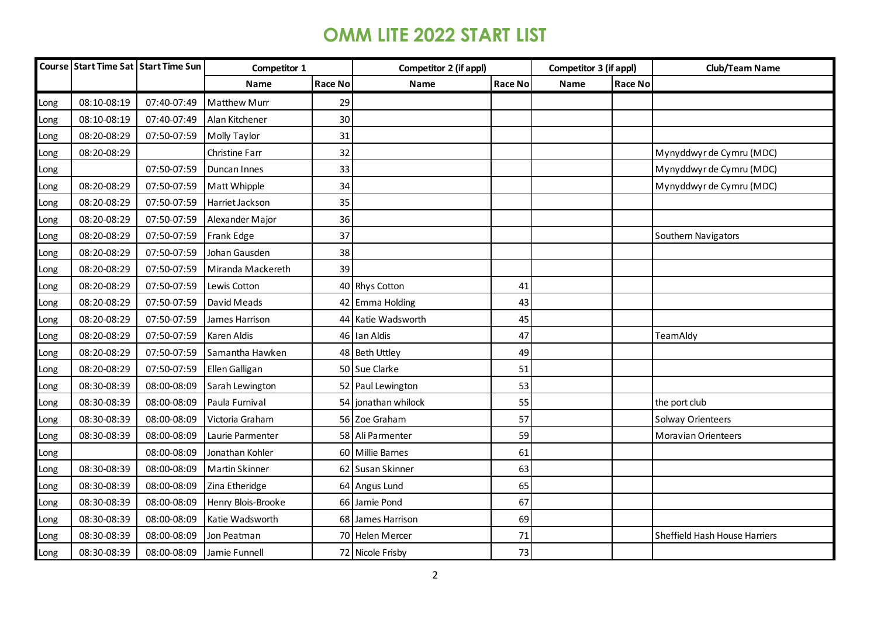|      |             | Course Start Time Sat Start Time Sun | Competitor 1<br>Competitor 2 (if appl) |         | Competitor 3 (if appl) |                | <b>Club/Team Name</b> |         |                               |
|------|-------------|--------------------------------------|----------------------------------------|---------|------------------------|----------------|-----------------------|---------|-------------------------------|
|      |             |                                      | <b>Name</b>                            | Race No | Name                   | <b>Race No</b> | Name                  | Race No |                               |
| Long | 08:10-08:19 | 07:40-07:49                          | <b>Matthew Murr</b>                    | 29      |                        |                |                       |         |                               |
| Long | 08:10-08:19 | 07:40-07:49                          | Alan Kitchener                         | 30      |                        |                |                       |         |                               |
| Long | 08:20-08:29 | 07:50-07:59                          | Molly Taylor                           | 31      |                        |                |                       |         |                               |
| Long | 08:20-08:29 |                                      | Christine Farr                         | 32      |                        |                |                       |         | Mynyddwyr de Cymru (MDC)      |
| Long |             | 07:50-07:59                          | Duncan Innes                           | 33      |                        |                |                       |         | Mynyddwyr de Cymru (MDC)      |
| Long | 08:20-08:29 | 07:50-07:59                          | Matt Whipple                           | 34      |                        |                |                       |         | Mynyddwyr de Cymru (MDC)      |
| Long | 08:20-08:29 | 07:50-07:59                          | Harriet Jackson                        | 35      |                        |                |                       |         |                               |
| Long | 08:20-08:29 | 07:50-07:59                          | Alexander Major                        | 36      |                        |                |                       |         |                               |
| Long | 08:20-08:29 | 07:50-07:59                          | Frank Edge                             | 37      |                        |                |                       |         | Southern Navigators           |
| Long | 08:20-08:29 | 07:50-07:59                          | Johan Gausden                          | 38      |                        |                |                       |         |                               |
| Long | 08:20-08:29 | 07:50-07:59                          | Miranda Mackereth                      | 39      |                        |                |                       |         |                               |
| Long | 08:20-08:29 | 07:50-07:59                          | Lewis Cotton                           |         | 40 Rhys Cotton         | 41             |                       |         |                               |
| Long | 08:20-08:29 | 07:50-07:59                          | David Meads                            |         | 42 Emma Holding        | 43             |                       |         |                               |
| Long | 08:20-08:29 | 07:50-07:59                          | James Harrison                         |         | 44 Katie Wadsworth     | 45             |                       |         |                               |
| Long | 08:20-08:29 | 07:50-07:59                          | Karen Aldis                            |         | 46 Ian Aldis           | 47             |                       |         | TeamAldy                      |
| Long | 08:20-08:29 | 07:50-07:59                          | Samantha Hawken                        |         | 48 Beth Uttley         | 49             |                       |         |                               |
| Long | 08:20-08:29 | 07:50-07:59                          | Ellen Galligan                         |         | 50 Sue Clarke          | 51             |                       |         |                               |
| Long | 08:30-08:39 | 08:00-08:09                          | Sarah Lewington                        |         | 52 Paul Lewington      | 53             |                       |         |                               |
| Long | 08:30-08:39 | 08:00-08:09                          | Paula Furnival                         |         | 54 jonathan whilock    | 55             |                       |         | the port club                 |
| Long | 08:30-08:39 | 08:00-08:09                          | Victoria Graham                        |         | 56 Zoe Graham          | 57             |                       |         | Solway Orienteers             |
| Long | 08:30-08:39 | 08:00-08:09                          | Laurie Parmenter                       |         | 58 Ali Parmenter       | 59             |                       |         | <b>Moravian Orienteers</b>    |
| Long |             | 08:00-08:09                          | Jonathan Kohler                        |         | 60 Millie Barnes       | 61             |                       |         |                               |
| Long | 08:30-08:39 | 08:00-08:09                          | <b>Martin Skinner</b>                  |         | 62 Susan Skinner       | 63             |                       |         |                               |
| Long | 08:30-08:39 | 08:00-08:09                          | Zina Etheridge                         |         | 64 Angus Lund          | 65             |                       |         |                               |
| Long | 08:30-08:39 | 08:00-08:09                          | Henry Blois-Brooke                     |         | 66 Jamie Pond          | 67             |                       |         |                               |
| Long | 08:30-08:39 | 08:00-08:09                          | Katie Wadsworth                        |         | 68 James Harrison      | 69             |                       |         |                               |
| Long | 08:30-08:39 | 08:00-08:09                          | Jon Peatman                            |         | 70 Helen Mercer        | 71             |                       |         | Sheffield Hash House Harriers |
| Long | 08:30-08:39 | 08:00-08:09                          | Jamie Funnell                          |         | 72 Nicole Frisby       | 73             |                       |         |                               |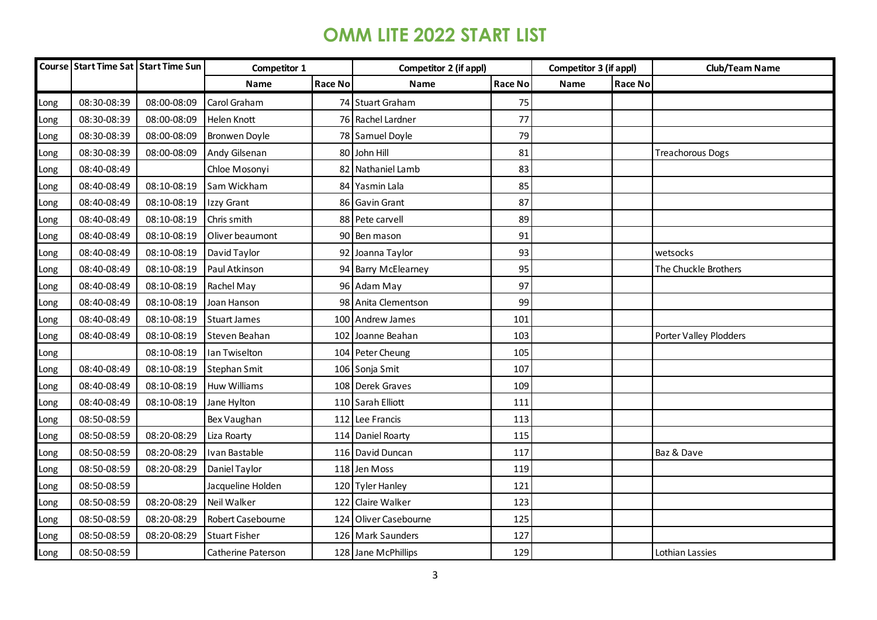|      |             | Course Start Time Sat Start Time Sun | Competitor 1         |         | <b>Competitor 2 (if appl)</b> |                | Competitor 3 (if appl) |         | <b>Club/Team Name</b>   |
|------|-------------|--------------------------------------|----------------------|---------|-------------------------------|----------------|------------------------|---------|-------------------------|
|      |             |                                      | Name                 | Race No | Name                          | <b>Race No</b> | Name                   | Race No |                         |
| Long | 08:30-08:39 | 08:00-08:09                          | Carol Graham         |         | 74 Stuart Graham              | 75             |                        |         |                         |
| Long | 08:30-08:39 | 08:00-08:09                          | Helen Knott          |         | 76 Rachel Lardner             | 77             |                        |         |                         |
| Long | 08:30-08:39 | 08:00-08:09                          | <b>Bronwen Doyle</b> |         | 78 Samuel Doyle               | 79             |                        |         |                         |
| Long | 08:30-08:39 | 08:00-08:09                          | Andy Gilsenan        |         | 80 John Hill                  | 81             |                        |         | <b>Treachorous Dogs</b> |
| Long | 08:40-08:49 |                                      | Chloe Mosonyi        | 82      | Nathaniel Lamb                | 83             |                        |         |                         |
| Long | 08:40-08:49 | 08:10-08:19                          | Sam Wickham          |         | 84 Yasmin Lala                | 85             |                        |         |                         |
| Long | 08:40-08:49 | 08:10-08:19                          | Izzy Grant           |         | 86 Gavin Grant                | 87             |                        |         |                         |
| Long | 08:40-08:49 | 08:10-08:19                          | Chris smith          |         | 88 Pete carvell               | 89             |                        |         |                         |
| Long | 08:40-08:49 | 08:10-08:19                          | Oliver beaumont      |         | 90 Ben mason                  | 91             |                        |         |                         |
| Long | 08:40-08:49 | 08:10-08:19                          | David Taylor         |         | 92 Joanna Taylor              | 93             |                        |         | wetsocks                |
| Long | 08:40-08:49 | 08:10-08:19                          | Paul Atkinson        |         | 94 Barry McElearney           | 95             |                        |         | The Chuckle Brothers    |
| Long | 08:40-08:49 | 08:10-08:19                          | Rachel May           |         | 96 Adam May                   | 97             |                        |         |                         |
| Long | 08:40-08:49 | 08:10-08:19                          | Joan Hanson          |         | 98 Anita Clementson           | 99             |                        |         |                         |
| Long | 08:40-08:49 | 08:10-08:19                          | <b>Stuart James</b>  |         | 100 Andrew James              | 101            |                        |         |                         |
| Long | 08:40-08:49 | 08:10-08:19                          | Steven Beahan        |         | 102 Joanne Beahan             | 103            |                        |         | Porter Valley Plodders  |
| Long |             | 08:10-08:19                          | Ian Twiselton        |         | 104 Peter Cheung              | 105            |                        |         |                         |
| Long | 08:40-08:49 | 08:10-08:19                          | Stephan Smit         |         | 106 Sonja Smit                | 107            |                        |         |                         |
| Long | 08:40-08:49 | 08:10-08:19                          | <b>Huw Williams</b>  |         | 108 Derek Graves              | 109            |                        |         |                         |
| Long | 08:40-08:49 | 08:10-08:19                          | Jane Hylton          |         | 110 Sarah Elliott             | 111            |                        |         |                         |
| Long | 08:50-08:59 |                                      | Bex Vaughan          |         | 112 Lee Francis               | 113            |                        |         |                         |
| Long | 08:50-08:59 | 08:20-08:29                          | Liza Roarty          |         | 114 Daniel Roarty             | 115            |                        |         |                         |
| Long | 08:50-08:59 | 08:20-08:29                          | Ivan Bastable        |         | 116 David Duncan              | 117            |                        |         | Baz & Dave              |
| Long | 08:50-08:59 | 08:20-08:29                          | Daniel Taylor        |         | 118 Jen Moss                  | 119            |                        |         |                         |
| Long | 08:50-08:59 |                                      | Jacqueline Holden    |         | 120 Tyler Hanley              | 121            |                        |         |                         |
| Long | 08:50-08:59 | 08:20-08:29                          | Neil Walker          | 122     | <b>Claire Walker</b>          | 123            |                        |         |                         |
| Long | 08:50-08:59 | 08:20-08:29                          | Robert Casebourne    | 124     | Oliver Casebourne             | 125            |                        |         |                         |
| Long | 08:50-08:59 | 08:20-08:29                          | <b>Stuart Fisher</b> |         | 126 Mark Saunders             | 127            |                        |         |                         |
| Long | 08:50-08:59 |                                      | Catherine Paterson   |         | 128 Jane McPhillips           | 129            |                        |         | Lothian Lassies         |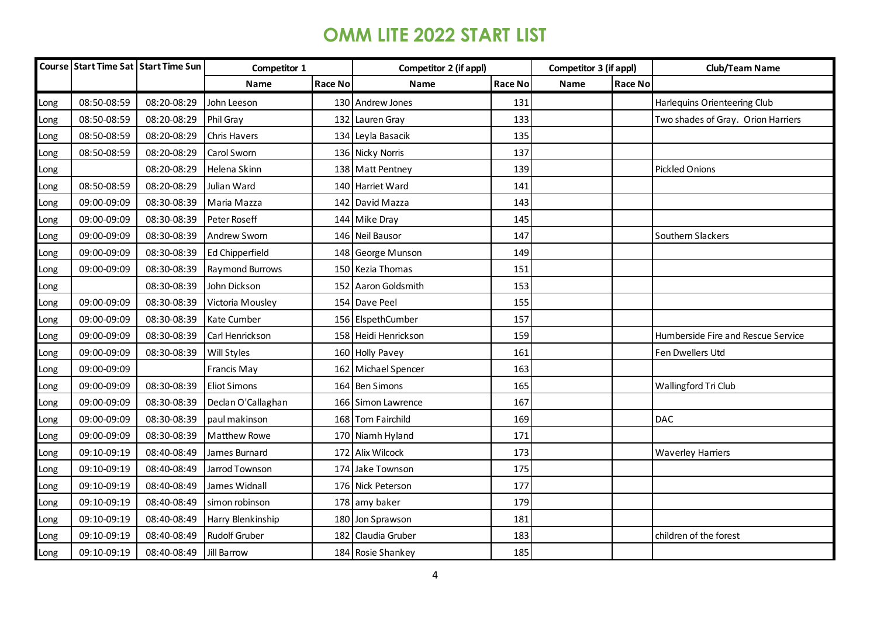|      |             | Course Start Time Sat Start Time Sun | Competitor 1           |                | Competitor 2 (if appl) |                | Competitor 3 (if appl) |         | <b>Club/Team Name</b>              |
|------|-------------|--------------------------------------|------------------------|----------------|------------------------|----------------|------------------------|---------|------------------------------------|
|      |             |                                      | Name                   | <b>Race No</b> | Name                   | <b>Race No</b> | Name                   | Race No |                                    |
| Long | 08:50-08:59 | 08:20-08:29                          | John Leeson            |                | 130 Andrew Jones       | 131            |                        |         | Harlequins Orienteering Club       |
| Long | 08:50-08:59 | 08:20-08:29                          | Phil Gray              | 132            | Lauren Gray            | 133            |                        |         | Two shades of Gray. Orion Harriers |
| Long | 08:50-08:59 | 08:20-08:29                          | <b>Chris Havers</b>    |                | 134 Leyla Basacik      | 135            |                        |         |                                    |
| Long | 08:50-08:59 | 08:20-08:29                          | Carol Sworn            |                | 136 Nicky Norris       | 137            |                        |         |                                    |
| Long |             | 08:20-08:29                          | Helena Skinn           |                | 138 Matt Pentney       | 139            |                        |         | <b>Pickled Onions</b>              |
| Long | 08:50-08:59 | 08:20-08:29                          | Julian Ward            |                | 140 Harriet Ward       | 141            |                        |         |                                    |
| Long | 09:00-09:09 | 08:30-08:39                          | Maria Mazza            |                | 142 David Mazza        | 143            |                        |         |                                    |
| Long | 09:00-09:09 | 08:30-08:39                          | Peter Roseff           |                | 144 Mike Dray          | 145            |                        |         |                                    |
| Long | 09:00-09:09 | 08:30-08:39                          | <b>Andrew Sworn</b>    |                | 146 Neil Bausor        | 147            |                        |         | Southern Slackers                  |
| Long | 09:00-09:09 | 08:30-08:39                          | <b>Ed Chipperfield</b> |                | 148 George Munson      | 149            |                        |         |                                    |
| Long | 09:00-09:09 | 08:30-08:39                          | Raymond Burrows        |                | 150 Kezia Thomas       | 151            |                        |         |                                    |
| Long |             | 08:30-08:39                          | John Dickson           |                | 152 Aaron Goldsmith    | 153            |                        |         |                                    |
| Long | 09:00-09:09 | 08:30-08:39                          | Victoria Mousley       |                | 154 Dave Peel          | 155            |                        |         |                                    |
| Long | 09:00-09:09 | 08:30-08:39                          | Kate Cumber            |                | 156 ElspethCumber      | 157            |                        |         |                                    |
| Long | 09:00-09:09 | 08:30-08:39                          | Carl Henrickson        |                | 158 Heidi Henrickson   | 159            |                        |         | Humberside Fire and Rescue Service |
| ong. | 09:00-09:09 | 08:30-08:39                          | Will Styles            |                | 160 Holly Pavey        | 161            |                        |         | Fen Dwellers Utd                   |
| Long | 09:00-09:09 |                                      | Francis May            | 162            | Michael Spencer        | 163            |                        |         |                                    |
| Long | 09:00-09:09 | 08:30-08:39                          | <b>Eliot Simons</b>    |                | 164 Ben Simons         | 165            |                        |         | Wallingford Tri Club               |
| ong  | 09:00-09:09 | 08:30-08:39                          | Declan O'Callaghan     |                | 166 Simon Lawrence     | 167            |                        |         |                                    |
| Long | 09:00-09:09 | 08:30-08:39                          | paul makinson          |                | 168 Tom Fairchild      | 169            |                        |         | <b>DAC</b>                         |
| Long | 09:00-09:09 | 08:30-08:39                          | <b>Matthew Rowe</b>    |                | 170 Niamh Hyland       | 171            |                        |         |                                    |
| Long | 09:10-09:19 | 08:40-08:49                          | James Burnard          | 172            | Alix Wilcock           | 173            |                        |         | <b>Waverley Harriers</b>           |
| Long | 09:10-09:19 | 08:40-08:49                          | Jarrod Townson         |                | 174 Jake Townson       | 175            |                        |         |                                    |
| Long | 09:10-09:19 | 08:40-08:49                          | James Widnall          |                | 176 Nick Peterson      | 177            |                        |         |                                    |
| Long | 09:10-09:19 | 08:40-08:49                          | simon robinson         |                | 178 amy baker          | 179            |                        |         |                                    |
| Long | 09:10-09:19 | 08:40-08:49                          | Harry Blenkinship      | 180            | Jon Sprawson           | 181            |                        |         |                                    |
| Long | 09:10-09:19 | 08:40-08:49                          | <b>Rudolf Gruber</b>   | 182            | Claudia Gruber         | 183            |                        |         | children of the forest             |
| Long | 09:10-09:19 | 08:40-08:49                          | Jill Barrow            |                | 184 Rosie Shankey      | 185            |                        |         |                                    |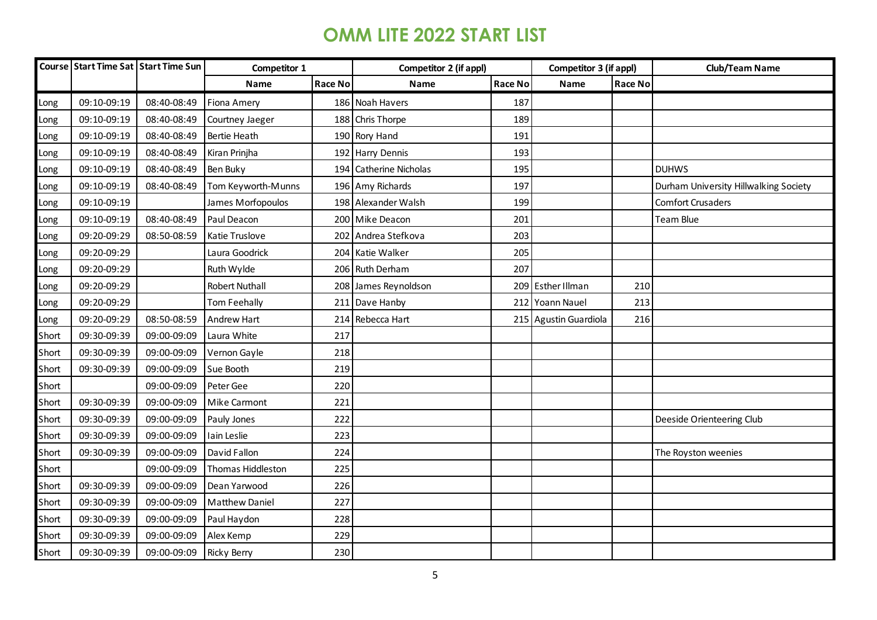|       |             | Course Start Time Sat Start Time Sun | Competitor 1          |                | Competitor 2 (if appl) |                | Competitor 3 (if appl) |                | <b>Club/Team Name</b>                 |
|-------|-------------|--------------------------------------|-----------------------|----------------|------------------------|----------------|------------------------|----------------|---------------------------------------|
|       |             |                                      | Name                  | <b>Race No</b> | <b>Name</b>            | <b>Race No</b> | Name                   | <b>Race No</b> |                                       |
| Long  | 09:10-09:19 | 08:40-08:49                          | <b>Fiona Amery</b>    |                | 186 Noah Havers        | 187            |                        |                |                                       |
| Long  | 09:10-09:19 | 08:40-08:49                          | Courtney Jaeger       |                | 188 Chris Thorpe       | 189            |                        |                |                                       |
| Long  | 09:10-09:19 | 08:40-08:49                          | <b>Bertie Heath</b>   |                | 190 Rory Hand          | 191            |                        |                |                                       |
| Long  | 09:10-09:19 | 08:40-08:49                          | Kiran Prinjha         | 192            | Harry Dennis           | 193            |                        |                |                                       |
| Long  | 09:10-09:19 | 08:40-08:49                          | Ben Buky              | 194            | Catherine Nicholas     | 195            |                        |                | <b>DUHWS</b>                          |
| Long  | 09:10-09:19 | 08:40-08:49                          | Tom Keyworth-Munns    |                | 196 Amy Richards       | 197            |                        |                | Durham University Hillwalking Society |
| Long  | 09:10-09:19 |                                      | James Morfopoulos     |                | 198 Alexander Walsh    | 199            |                        |                | <b>Comfort Crusaders</b>              |
| Long  | 09:10-09:19 | 08:40-08:49                          | Paul Deacon           |                | 200 Mike Deacon        | 201            |                        |                | Team Blue                             |
| Long  | 09:20-09:29 | 08:50-08:59                          | Katie Truslove        | 202            | Andrea Stefkova        | 203            |                        |                |                                       |
| Long  | 09:20-09:29 |                                      | Laura Goodrick        |                | 204 Katie Walker       | 205            |                        |                |                                       |
| Long  | 09:20-09:29 |                                      | Ruth Wylde            |                | 206 Ruth Derham        | 207            |                        |                |                                       |
| Long  | 09:20-09:29 |                                      | <b>Robert Nuthall</b> |                | 208 James Reynoldson   |                | 209 Esther Illman      | 210            |                                       |
| Long  | 09:20-09:29 |                                      | Tom Feehally          | 211            | Dave Hanby             |                | 212 Yoann Nauel        | 213            |                                       |
| Long  | 09:20-09:29 | 08:50-08:59                          | Andrew Hart           | 214            | Rebecca Hart           |                | 215 Agustin Guardiola  | 216            |                                       |
| Short | 09:30-09:39 | 09:00-09:09                          | Laura White           | 217            |                        |                |                        |                |                                       |
| Short | 09:30-09:39 | 09:00-09:09                          | Vernon Gayle          | 218            |                        |                |                        |                |                                       |
| Short | 09:30-09:39 | 09:00-09:09                          | Sue Booth             | 219            |                        |                |                        |                |                                       |
| Short |             | 09:00-09:09                          | Peter Gee             | 220            |                        |                |                        |                |                                       |
| Short | 09:30-09:39 | 09:00-09:09                          | Mike Carmont          | 221            |                        |                |                        |                |                                       |
| Short | 09:30-09:39 | 09:00-09:09                          | Pauly Jones           | 222            |                        |                |                        |                | Deeside Orienteering Club             |
| Short | 09:30-09:39 | 09:00-09:09                          | Iain Leslie           | 223            |                        |                |                        |                |                                       |
| Short | 09:30-09:39 | 09:00-09:09                          | David Fallon          | 224            |                        |                |                        |                | The Royston weenies                   |
| Short |             | 09:00-09:09                          | Thomas Hiddleston     | 225            |                        |                |                        |                |                                       |
| Short | 09:30-09:39 | 09:00-09:09                          | Dean Yarwood          | 226            |                        |                |                        |                |                                       |
| Short | 09:30-09:39 | 09:00-09:09                          | <b>Matthew Daniel</b> | 227            |                        |                |                        |                |                                       |
| Short | 09:30-09:39 | 09:00-09:09                          | Paul Haydon           | 228            |                        |                |                        |                |                                       |
| Short | 09:30-09:39 | 09:00-09:09                          | Alex Kemp             | 229            |                        |                |                        |                |                                       |
| Short | 09:30-09:39 | 09:00-09:09                          | <b>Ricky Berry</b>    | 230            |                        |                |                        |                |                                       |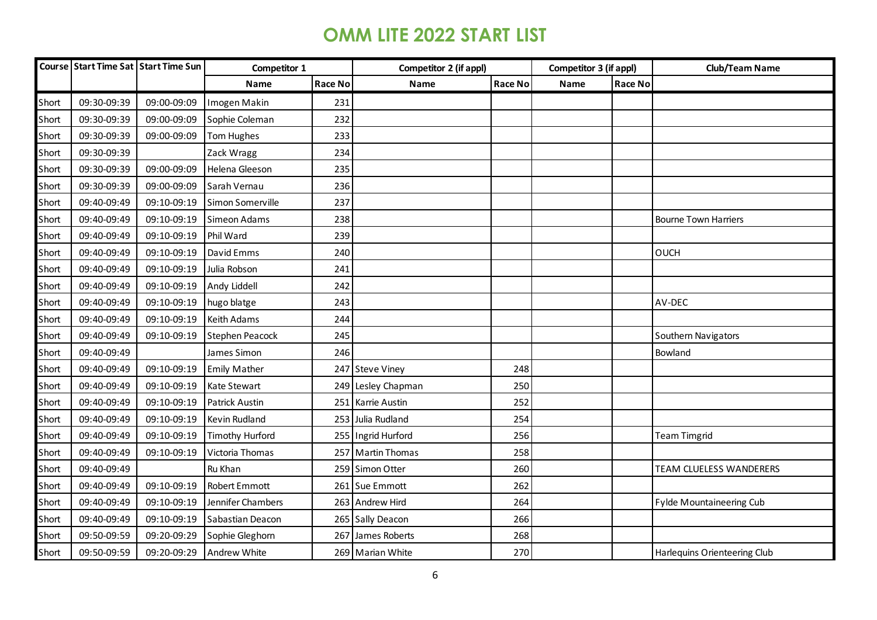|       |             | Course Start Time Sat Start Time Sun | Competitor 1           |         | Competitor 2 (if appl) |                | Competitor 3 (if appl) |         | <b>Club/Team Name</b>        |
|-------|-------------|--------------------------------------|------------------------|---------|------------------------|----------------|------------------------|---------|------------------------------|
|       |             |                                      | <b>Name</b>            | Race No | Name                   | <b>Race No</b> | Name                   | Race No |                              |
| Short | 09:30-09:39 | 09:00-09:09                          | Imogen Makin           | 231     |                        |                |                        |         |                              |
| Short | 09:30-09:39 | 09:00-09:09                          | Sophie Coleman         | 232     |                        |                |                        |         |                              |
| Short | 09:30-09:39 | 09:00-09:09                          | Tom Hughes             | 233     |                        |                |                        |         |                              |
| Short | 09:30-09:39 |                                      | Zack Wragg             | 234     |                        |                |                        |         |                              |
| Short | 09:30-09:39 | 09:00-09:09                          | Helena Gleeson         | 235     |                        |                |                        |         |                              |
| Short | 09:30-09:39 | 09:00-09:09                          | Sarah Vernau           | 236     |                        |                |                        |         |                              |
| Short | 09:40-09:49 | 09:10-09:19                          | Simon Somerville       | 237     |                        |                |                        |         |                              |
| Short | 09:40-09:49 | 09:10-09:19                          | Simeon Adams           | 238     |                        |                |                        |         | <b>Bourne Town Harriers</b>  |
| Short | 09:40-09:49 | 09:10-09:19                          | Phil Ward              | 239     |                        |                |                        |         |                              |
| Short | 09:40-09:49 | 09:10-09:19                          | David Emms             | 240     |                        |                |                        |         | <b>OUCH</b>                  |
| Short | 09:40-09:49 | 09:10-09:19                          | Julia Robson           | 241     |                        |                |                        |         |                              |
| Short | 09:40-09:49 | 09:10-09:19                          | Andy Liddell           | 242     |                        |                |                        |         |                              |
| Short | 09:40-09:49 | 09:10-09:19                          | hugo blatge            | 243     |                        |                |                        |         | AV-DEC                       |
| Short | 09:40-09:49 | 09:10-09:19                          | <b>Keith Adams</b>     | 244     |                        |                |                        |         |                              |
| Short | 09:40-09:49 | 09:10-09:19                          | <b>Stephen Peacock</b> | 245     |                        |                |                        |         | Southern Navigators          |
| Short | 09:40-09:49 |                                      | James Simon            | 246     |                        |                |                        |         | Bowland                      |
| Short | 09:40-09:49 | 09:10-09:19                          | <b>Emily Mather</b>    |         | 247 Steve Viney        | 248            |                        |         |                              |
| Short | 09:40-09:49 | 09:10-09:19                          | Kate Stewart           |         | 249 Lesley Chapman     | 250            |                        |         |                              |
| Short | 09:40-09:49 | 09:10-09:19                          | <b>Patrick Austin</b>  |         | 251 Karrie Austin      | 252            |                        |         |                              |
| Short | 09:40-09:49 | 09:10-09:19                          | Kevin Rudland          |         | 253 Julia Rudland      | 254            |                        |         |                              |
| Short | 09:40-09:49 | 09:10-09:19                          | <b>Timothy Hurford</b> |         | 255 Ingrid Hurford     | 256            |                        |         | <b>Team Timgrid</b>          |
| Short | 09:40-09:49 | 09:10-09:19                          | Victoria Thomas        |         | 257 Martin Thomas      | 258            |                        |         |                              |
| Short | 09:40-09:49 |                                      | Ru Khan                |         | 259 Simon Otter        | 260            |                        |         | TEAM CLUELESS WANDERERS      |
| Short | 09:40-09:49 | 09:10-09:19                          | <b>Robert Emmott</b>   |         | 261 Sue Emmott         | 262            |                        |         |                              |
| Short | 09:40-09:49 | 09:10-09:19                          | Jennifer Chambers      |         | 263 Andrew Hird        | 264            |                        |         | Fylde Mountaineering Cub     |
| Short | 09:40-09:49 | 09:10-09:19                          | Sabastian Deacon       |         | 265 Sally Deacon       | 266            |                        |         |                              |
| Short | 09:50-09:59 | 09:20-09:29                          | Sophie Gleghorn        | 267     | James Roberts          | 268            |                        |         |                              |
| Short | 09:50-09:59 | 09:20-09:29                          | Andrew White           |         | 269 Marian White       | 270            |                        |         | Harlequins Orienteering Club |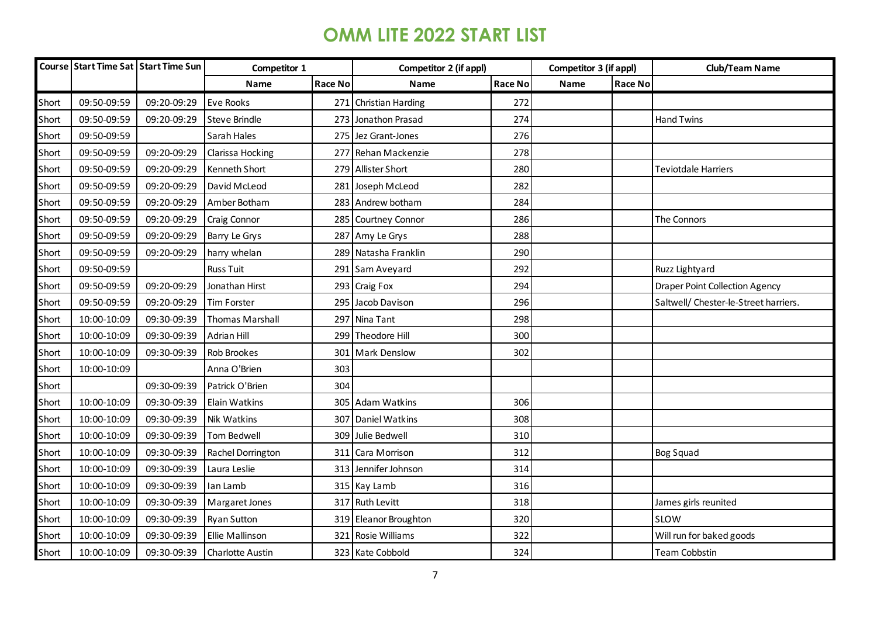|       |             | Course Start Time Sat Start Time Sun | Competitor 1            |                | Competitor 2 (if appl)   |         | Competitor 3 (if appl) |         | <b>Club/Team Name</b>                 |
|-------|-------------|--------------------------------------|-------------------------|----------------|--------------------------|---------|------------------------|---------|---------------------------------------|
|       |             |                                      | Name                    | <b>Race No</b> | <b>Name</b>              | Race No | Name                   | Race No |                                       |
| Short | 09:50-09:59 | 09:20-09:29                          | <b>Eve Rooks</b>        | 271            | <b>Christian Harding</b> | 272     |                        |         |                                       |
| Short | 09:50-09:59 | 09:20-09:29                          | <b>Steve Brindle</b>    | 273            | Jonathon Prasad          | 274     |                        |         | <b>Hand Twins</b>                     |
| Short | 09:50-09:59 |                                      | Sarah Hales             | 275            | Jez Grant-Jones          | 276     |                        |         |                                       |
| Short | 09:50-09:59 | 09:20-09:29                          | Clarissa Hocking        | 277            | Rehan Mackenzie          | 278     |                        |         |                                       |
| Short | 09:50-09:59 | 09:20-09:29                          | Kenneth Short           | 279            | <b>Allister Short</b>    | 280     |                        |         | Teviotdale Harriers                   |
| Short | 09:50-09:59 | 09:20-09:29                          | David McLeod            | 281            | Joseph McLeod            | 282     |                        |         |                                       |
| Short | 09:50-09:59 | 09:20-09:29                          | Amber Botham            |                | 283 Andrew botham        | 284     |                        |         |                                       |
| Short | 09:50-09:59 | 09:20-09:29                          | <b>Craig Connor</b>     |                | 285 Courtney Connor      | 286     |                        |         | The Connors                           |
| Short | 09:50-09:59 | 09:20-09:29                          | Barry Le Grys           | 287            | Amy Le Grys              | 288     |                        |         |                                       |
| Short | 09:50-09:59 | 09:20-09:29                          | harry whelan            | 289            | Natasha Franklin         | 290     |                        |         |                                       |
| Short | 09:50-09:59 |                                      | <b>Russ Tuit</b>        |                | 291 Sam Aveyard          | 292     |                        |         | Ruzz Lightyard                        |
| Short | 09:50-09:59 | 09:20-09:29                          | Jonathan Hirst          |                | 293 Craig Fox            | 294     |                        |         | <b>Draper Point Collection Agency</b> |
| Short | 09:50-09:59 | 09:20-09:29                          | <b>Tim Forster</b>      |                | 295 Jacob Davison        | 296     |                        |         | Saltwell/ Chester-le-Street harriers. |
| Short | 10:00-10:09 | 09:30-09:39                          | <b>Thomas Marshall</b>  |                | 297 Nina Tant            | 298     |                        |         |                                       |
| Short | 10:00-10:09 | 09:30-09:39                          | Adrian Hill             |                | 299 Theodore Hill        | 300     |                        |         |                                       |
| Short | 10:00-10:09 | 09:30-09:39                          | Rob Brookes             | 301            | <b>Mark Denslow</b>      | 302     |                        |         |                                       |
| Short | 10:00-10:09 |                                      | Anna O'Brien            | 303            |                          |         |                        |         |                                       |
| Short |             | 09:30-09:39                          | Patrick O'Brien         | 304            |                          |         |                        |         |                                       |
| Short | 10:00-10:09 | 09:30-09:39                          | <b>Elain Watkins</b>    | 305            | <b>Adam Watkins</b>      | 306     |                        |         |                                       |
| Short | 10:00-10:09 | 09:30-09:39                          | <b>Nik Watkins</b>      | 307            | Daniel Watkins           | 308     |                        |         |                                       |
| Short | 10:00-10:09 | 09:30-09:39                          | Tom Bedwell             | 309            | Julie Bedwell            | 310     |                        |         |                                       |
| Short | 10:00-10:09 | 09:30-09:39                          | Rachel Dorrington       | 311            | Cara Morrison            | 312     |                        |         | Bog Squad                             |
| Short | 10:00-10:09 | 09:30-09:39                          | Laura Leslie            |                | 313 Jennifer Johnson     | 314     |                        |         |                                       |
| Short | 10:00-10:09 | 09:30-09:39                          | Ian Lamb                |                | 315 Kay Lamb             | 316     |                        |         |                                       |
| Short | 10:00-10:09 | 09:30-09:39                          | Margaret Jones          |                | 317 Ruth Levitt          | 318     |                        |         | James girls reunited                  |
| Short | 10:00-10:09 | 09:30-09:39                          | <b>Ryan Sutton</b>      |                | 319 Eleanor Broughton    | 320     |                        |         | SLOW                                  |
| Short | 10:00-10:09 | 09:30-09:39                          | <b>Ellie Mallinson</b>  | 321            | Rosie Williams           | 322     |                        |         | Will run for baked goods              |
| Short | 10:00-10:09 | 09:30-09:39                          | <b>Charlotte Austin</b> |                | 323 Kate Cobbold         | 324     |                        |         | <b>Team Cobbstin</b>                  |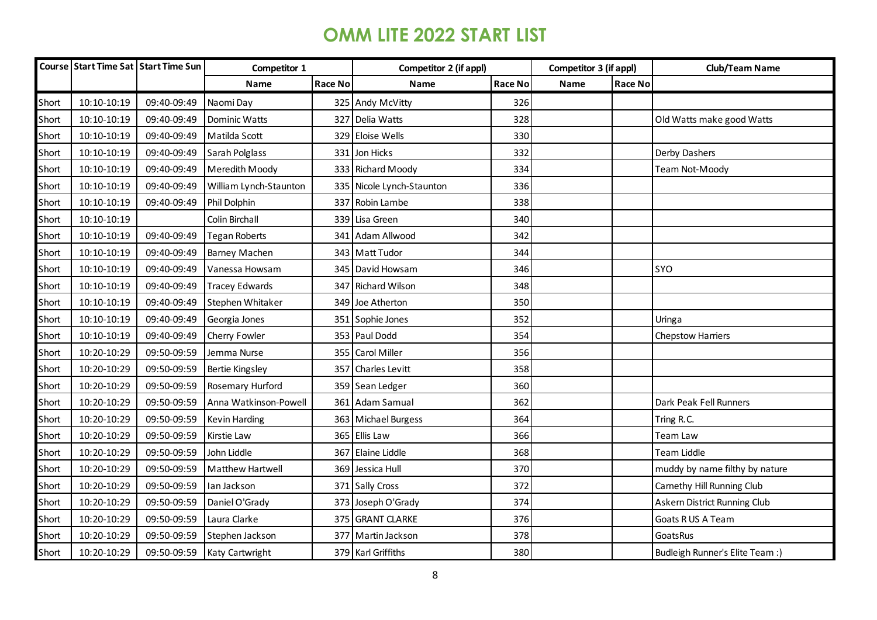|       |             | Course Start Time Sat Start Time Sun | Competitor 1           |         | Competitor 2 (if appl)    |                | Competitor 3 (if appl) |                | <b>Club/Team Name</b>           |
|-------|-------------|--------------------------------------|------------------------|---------|---------------------------|----------------|------------------------|----------------|---------------------------------|
|       |             |                                      | Name                   | Race No | Name                      | <b>Race No</b> | Name                   | <b>Race No</b> |                                 |
| Short | 10:10-10:19 | 09:40-09:49                          | Naomi Day              |         | 325 Andy McVitty          | 326            |                        |                |                                 |
| Short | 10:10-10:19 | 09:40-09:49                          | Dominic Watts          |         | 327 Delia Watts           | 328            |                        |                | Old Watts make good Watts       |
| Short | 10:10-10:19 | 09:40-09:49                          | Matilda Scott          |         | 329 Eloise Wells          | 330            |                        |                |                                 |
| Short | 10:10-10:19 | 09:40-09:49                          | Sarah Polglass         |         | 331 Jon Hicks             | 332            |                        |                | Derby Dashers                   |
| Short | 10:10-10:19 | 09:40-09:49                          | Meredith Moody         |         | 333 Richard Moody         | 334            |                        |                | Team Not-Moody                  |
| Short | 10:10-10:19 | 09:40-09:49                          | William Lynch-Staunton |         | 335 Nicole Lynch-Staunton | 336            |                        |                |                                 |
| Short | 10:10-10:19 | 09:40-09:49                          | Phil Dolphin           | 337     | Robin Lambe               | 338            |                        |                |                                 |
| Short | 10:10-10:19 |                                      | Colin Birchall         |         | 339 Lisa Green            | 340            |                        |                |                                 |
| Short | 10:10-10:19 | 09:40-09:49                          | <b>Tegan Roberts</b>   | 341     | Adam Allwood              | 342            |                        |                |                                 |
| Short | 10:10-10:19 | 09:40-09:49                          | Barney Machen          |         | 343 Matt Tudor            | 344            |                        |                |                                 |
| Short | 10:10-10:19 | 09:40-09:49                          | Vanessa Howsam         |         | 345 David Howsam          | 346            |                        |                | SYO                             |
| Short | 10:10-10:19 | 09:40-09:49                          | <b>Tracey Edwards</b>  |         | 347 Richard Wilson        | 348            |                        |                |                                 |
| Short | 10:10-10:19 | 09:40-09:49                          | Stephen Whitaker       |         | 349 Joe Atherton          | 350            |                        |                |                                 |
| Short | 10:10-10:19 | 09:40-09:49                          | Georgia Jones          |         | 351 Sophie Jones          | 352            |                        |                | Uringa                          |
| Short | 10:10-10:19 | 09:40-09:49                          | Cherry Fowler          |         | 353 Paul Dodd             | 354            |                        |                | <b>Chepstow Harriers</b>        |
| Short | 10:20-10:29 | 09:50-09:59                          | Jemma Nurse            |         | 355 Carol Miller          | 356            |                        |                |                                 |
| Short | 10:20-10:29 | 09:50-09:59                          | <b>Bertie Kingsley</b> | 357     | <b>Charles Levitt</b>     | 358            |                        |                |                                 |
| Short | 10:20-10:29 | 09:50-09:59                          | Rosemary Hurford       |         | 359 Sean Ledger           | 360            |                        |                |                                 |
| Short | 10:20-10:29 | 09:50-09:59                          | Anna Watkinson-Powell  |         | 361 Adam Samual           | 362            |                        |                | Dark Peak Fell Runners          |
| Short | 10:20-10:29 | 09:50-09:59                          | Kevin Harding          |         | 363 Michael Burgess       | 364            |                        |                | Tring R.C.                      |
| Short | 10:20-10:29 | 09:50-09:59                          | Kirstie Law            |         | 365 Ellis Law             | 366            |                        |                | Team Law                        |
| Short | 10:20-10:29 | 09:50-09:59                          | John Liddle            | 367     | Elaine Liddle             | 368            |                        |                | Team Liddle                     |
| Short | 10:20-10:29 | 09:50-09:59                          | Matthew Hartwell       | 369     | Jessica Hull              | 370            |                        |                | muddy by name filthy by nature  |
| Short | 10:20-10:29 | 09:50-09:59                          | Ian Jackson            |         | 371 Sally Cross           | 372            |                        |                | Carnethy Hill Running Club      |
| Short | 10:20-10:29 | 09:50-09:59                          | Daniel O'Grady         |         | 373 Joseph O'Grady        | 374            |                        |                | Askern District Running Club    |
| Short | 10:20-10:29 | 09:50-09:59                          | Laura Clarke           |         | 375 GRANT CLARKE          | 376            |                        |                | Goats R US A Team               |
| Short | 10:20-10:29 | 09:50-09:59                          | Stephen Jackson        |         | 377 Martin Jackson        | 378            |                        |                | GoatsRus                        |
| Short | 10:20-10:29 | 09:50-09:59                          | Katy Cartwright        |         | 379 Karl Griffiths        | 380            |                        |                | Budleigh Runner's Elite Team :) |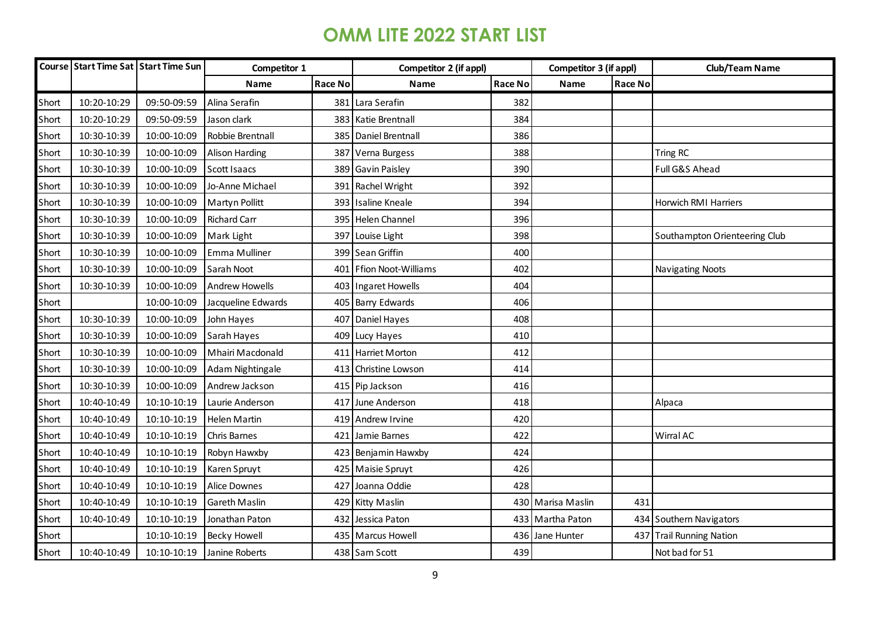|       |             | Course Start Time Sat Start Time Sun | Competitor 1          |         | Competitor 2 (if appl) |                | Competitor 3 (if appl) |         | <b>Club/Team Name</b>         |
|-------|-------------|--------------------------------------|-----------------------|---------|------------------------|----------------|------------------------|---------|-------------------------------|
|       |             |                                      | Name                  | Race No | <b>Name</b>            | <b>Race No</b> | Name                   | Race No |                               |
| Short | 10:20-10:29 | 09:50-09:59                          | Alina Serafin         | 381     | Lara Serafin           | 382            |                        |         |                               |
| Short | 10:20-10:29 | 09:50-09:59                          | Jason clark           |         | 383 Katie Brentnall    | 384            |                        |         |                               |
| Short | 10:30-10:39 | 10:00-10:09                          | Robbie Brentnall      | 385     | Daniel Brentnall       | 386            |                        |         |                               |
| Short | 10:30-10:39 | 10:00-10:09                          | <b>Alison Harding</b> | 387     | Verna Burgess          | 388            |                        |         | Tring RC                      |
| Short | 10:30-10:39 | 10:00-10:09                          | <b>Scott Isaacs</b>   | 389     | Gavin Paisley          | 390            |                        |         | Full G&S Ahead                |
| Short | 10:30-10:39 | 10:00-10:09                          | Jo-Anne Michael       | 391     | Rachel Wright          | 392            |                        |         |                               |
| Short | 10:30-10:39 | 10:00-10:09                          | <b>Martyn Pollitt</b> | 393     | <b>Isaline Kneale</b>  | 394            |                        |         | Horwich RMI Harriers          |
| Short | 10:30-10:39 | 10:00-10:09                          | <b>Richard Carr</b>   | 395     | <b>Helen Channel</b>   | 396            |                        |         |                               |
| Short | 10:30-10:39 | 10:00-10:09                          | Mark Light            | 397     | Louise Light           | 398            |                        |         | Southampton Orienteering Club |
| Short | 10:30-10:39 | 10:00-10:09                          | Emma Mulliner         |         | 399 Sean Griffin       | 400            |                        |         |                               |
| Short | 10:30-10:39 | 10:00-10:09                          | Sarah Noot            | 401     | Ffion Noot-Williams    | 402            |                        |         | <b>Navigating Noots</b>       |
| Short | 10:30-10:39 | 10:00-10:09                          | <b>Andrew Howells</b> |         | 403 Ingaret Howells    | 404            |                        |         |                               |
| Short |             | 10:00-10:09                          | Jacqueline Edwards    | 405     | <b>Barry Edwards</b>   | 406            |                        |         |                               |
| Short | 10:30-10:39 | 10:00-10:09                          | John Hayes            | 407     | Daniel Hayes           | 408            |                        |         |                               |
| Short | 10:30-10:39 | 10:00-10:09                          | Sarah Hayes           | 409     | Lucy Hayes             | 410            |                        |         |                               |
| Short | 10:30-10:39 | 10:00-10:09                          | Mhairi Macdonald      | 411     | Harriet Morton         | 412            |                        |         |                               |
| Short | 10:30-10:39 | 10:00-10:09                          | Adam Nightingale      | 413     | Christine Lowson       | 414            |                        |         |                               |
| Short | 10:30-10:39 | 10:00-10:09                          | Andrew Jackson        |         | 415 Pip Jackson        | 416            |                        |         |                               |
| Short | 10:40-10:49 | 10:10-10:19                          | Laurie Anderson       | 417     | June Anderson          | 418            |                        |         | Alpaca                        |
| Short | 10:40-10:49 | 10:10-10:19                          | <b>Helen Martin</b>   | 419     | Andrew Irvine          | 420            |                        |         |                               |
| Short | 10:40-10:49 | 10:10-10:19                          | Chris Barnes          | 421     | Jamie Barnes           | 422            |                        |         | Wirral AC                     |
| Short | 10:40-10:49 | 10:10-10:19                          | Robyn Hawxby          | 423     | Benjamin Hawxby        | 424            |                        |         |                               |
| Short | 10:40-10:49 | 10:10-10:19                          | Karen Spruyt          | 425     | Maisie Spruyt          | 426            |                        |         |                               |
| Short | 10:40-10:49 | 10:10-10:19                          | Alice Downes          | 427     | Joanna Oddie           | 428            |                        |         |                               |
| Short | 10:40-10:49 | 10:10-10:19                          | <b>Gareth Maslin</b>  | 429     | <b>Kitty Maslin</b>    |                | 430 Marisa Maslin      | 431     |                               |
| Short | 10:40-10:49 | 10:10-10:19                          | Jonathan Paton        | 432     | Jessica Paton          |                | 433 Martha Paton       |         | 434 Southern Navigators       |
| Short |             | 10:10-10:19                          | <b>Becky Howell</b>   |         | 435 Marcus Howell      |                | 436 Jane Hunter        |         | 437 Trail Running Nation      |
| Short | 10:40-10:49 | 10:10-10:19                          | Janine Roberts        |         | 438 Sam Scott          | 439            |                        |         | Not bad for 51                |